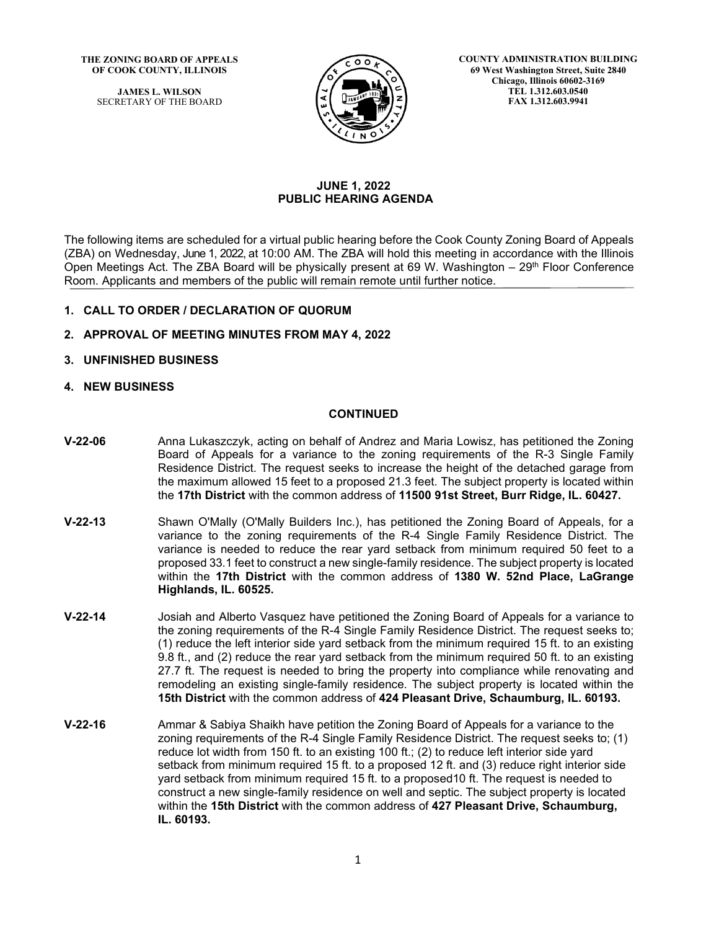**THE ZONING BOARD OF APPEALS OF COOK COUNTY, ILLINOIS**

> **JAMES L. WILSON** SECRETARY OF THE BOARD



**COUNTY ADMINISTRATION BUILDING 69 West Washington Street, Suite 2840 Chicago, Illinois 60602-3169 TEL 1.312.603.0540 FAX 1.312.603.9941**

# **JUNE 1, 2022 PUBLIC HEARING AGENDA**

The following items are scheduled for a virtual public hearing before the Cook County Zoning Board of Appeals (ZBA) on Wednesday, June 1, 2022, at 10:00 AM. The ZBA will hold this meeting in accordance with the Illinois Open Meetings Act. The ZBA Board will be physically present at 69 W. Washington  $-29<sup>th</sup>$  Floor Conference Room. Applicants and members of the public will remain remote until further notice.

# **1. CALL TO ORDER / DECLARATION OF QUORUM**

- **2. APPROVAL OF MEETING MINUTES FROM MAY 4, 2022**
- **3. UNFINISHED BUSINESS**
- **4. NEW BUSINESS**

# **CONTINUED**

- **V-22-06** Anna Lukaszczyk, acting on behalf of Andrez and Maria Lowisz, has petitioned the Zoning Board of Appeals for a variance to the zoning requirements of the R-3 Single Family Residence District. The request seeks to increase the height of the detached garage from the maximum allowed 15 feet to a proposed 21.3 feet. The subject property is located within the **17th District** with the common address of **11500 91st Street, Burr Ridge, IL. 60427.**
- **V-22-13** Shawn O'Mally (O'Mally Builders Inc.), has petitioned the Zoning Board of Appeals, for a variance to the zoning requirements of the R-4 Single Family Residence District. The variance is needed to reduce the rear yard setback from minimum required 50 feet to a proposed 33.1 feet to construct a new single-family residence. The subject property is located within the **17th District** with the common address of **1380 W. 52nd Place, LaGrange Highlands, IL. 60525.**
- **V-22-14** Josiah and Alberto Vasquez have petitioned the Zoning Board of Appeals for a variance to the zoning requirements of the R-4 Single Family Residence District. The request seeks to; (1) reduce the left interior side yard setback from the minimum required 15 ft. to an existing 9.8 ft., and (2) reduce the rear yard setback from the minimum required 50 ft. to an existing 27.7 ft. The request is needed to bring the property into compliance while renovating and remodeling an existing single-family residence. The subject property is located within the **15th District** with the common address of **424 Pleasant Drive, Schaumburg, IL. 60193.**
- **V-22-16** Ammar & Sabiya Shaikh have petition the Zoning Board of Appeals for a variance to the zoning requirements of the R-4 Single Family Residence District. The request seeks to; (1) reduce lot width from 150 ft. to an existing 100 ft.; (2) to reduce left interior side yard setback from minimum required 15 ft. to a proposed 12 ft. and (3) reduce right interior side yard setback from minimum required 15 ft. to a proposed10 ft. The request is needed to construct a new single-family residence on well and septic. The subject property is located within the **15th District** with the common address of **427 Pleasant Drive, Schaumburg, IL. 60193.**